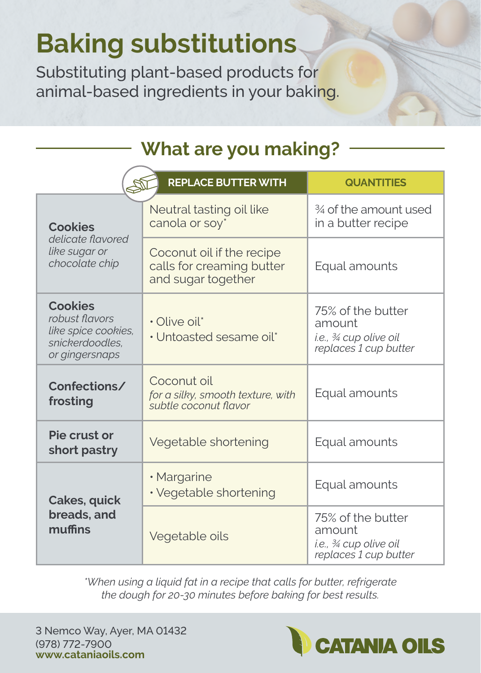## **Baking substitutions**

Substituting plant-based products for animal-based ingredients in your baking.

## **What are you making?**

| <b>REPLACE BUTTER WITH</b><br><b>QUANTITIES</b>                                              |                                                                              |                                                                               |  |  |
|----------------------------------------------------------------------------------------------|------------------------------------------------------------------------------|-------------------------------------------------------------------------------|--|--|
| <b>Cookies</b>                                                                               | Neutral tasting oil like<br>canola or soy*                                   | 3⁄4 of the amount used<br>in a butter recipe                                  |  |  |
| delicate flavored<br>like sugar or<br>chocolate chip                                         | Coconut oil if the recipe<br>calls for creaming butter<br>and sugar together | Equal amounts                                                                 |  |  |
| <b>Cookies</b><br>robust flavors<br>like spice cookies.<br>snickerdoodles.<br>or gingersnaps | · Olive oil*<br>• Untoasted sesame oil*                                      | 75% of the butter<br>amount<br>i.e., ¾ cup olive oil<br>replaces 1 cup butter |  |  |
| Confections/<br>frosting                                                                     | Coconut oil<br>for a silky, smooth texture, with<br>subtle coconut flavor    | Equal amounts                                                                 |  |  |
| Pie crust or<br>short pastry                                                                 | Vegetable shortening                                                         | Equal amounts                                                                 |  |  |
| Cakes, quick                                                                                 | • Margarine<br>• Vegetable shortening                                        | Equal amounts                                                                 |  |  |
| breads, and<br>muffins                                                                       | Vegetable oils                                                               | 75% of the butter<br>amount<br>i.e., ¾ cup olive oil<br>replaces 1 cup butter |  |  |

*\*When using a liquid fat in a recipe that calls for butter, refrigerate the dough for 20-30 minutes before baking for best results.*

3 Nemco Way, Ayer, MA 01432 (978) 772-7900 **www.cataniaoils.com**